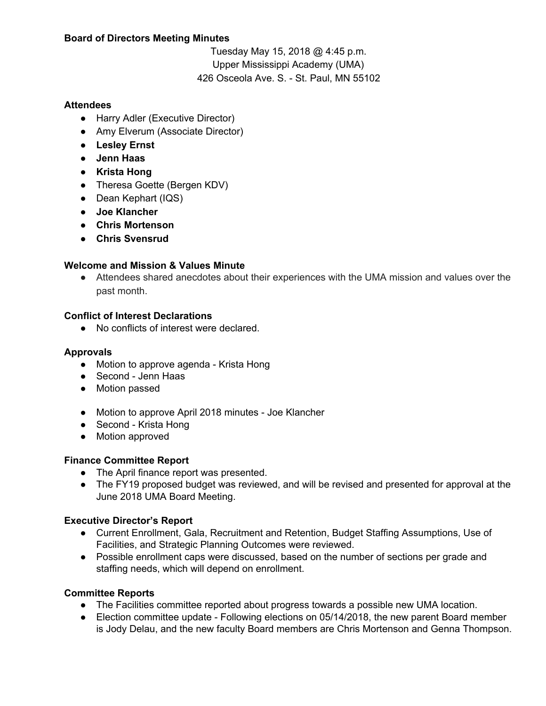### **Board of Directors Meeting Minutes**

Tuesday May 15, 2018 @ 4:45 p.m. Upper Mississippi Academy (UMA) 426 Osceola Ave. S. - St. Paul, MN 55102

### **Attendees**

- Harry Adler (Executive Director)
- Amy Elverum (Associate Director)
- **● Lesley Ernst**
- **● Jenn Haas**
- **● Krista Hong**
- Theresa Goette (Bergen KDV)
- Dean Kephart (IQS)
- **● Joe Klancher**
- **● Chris Mortenson**
- **● Chris Svensrud**

#### **Welcome and Mission & Values Minute**

• Attendees shared anecdotes about their experiences with the UMA mission and values over the past month.

#### **Conflict of Interest Declarations**

● No conflicts of interest were declared.

# **Approvals**

- Motion to approve agenda Krista Hong
- Second Jenn Haas
- Motion passed
- Motion to approve April 2018 minutes Joe Klancher
- Second Krista Hong
- Motion approved

# **Finance Committee Report**

- The April finance report was presented.
- The FY19 proposed budget was reviewed, and will be revised and presented for approval at the June 2018 UMA Board Meeting.

# **Executive Director's Report**

- Current Enrollment, Gala, Recruitment and Retention, Budget Staffing Assumptions, Use of Facilities, and Strategic Planning Outcomes were reviewed.
- Possible enrollment caps were discussed, based on the number of sections per grade and staffing needs, which will depend on enrollment.

# **Committee Reports**

- The Facilities committee reported about progress towards a possible new UMA location.
- Election committee update Following elections on 05/14/2018, the new parent Board member is Jody Delau, and the new faculty Board members are Chris Mortenson and Genna Thompson.